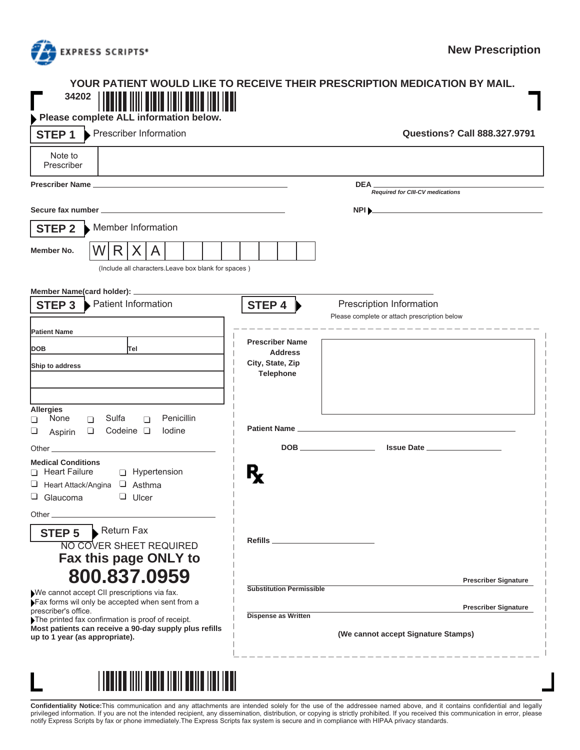

## **YOUR PATIENT WOULD LIKE TO RECEIVE THEIR PRESCRIPTION MEDICATION BY MAIL. 34202**

| Please complete ALL information below.                                                         |                                                                                    |                                     |
|------------------------------------------------------------------------------------------------|------------------------------------------------------------------------------------|-------------------------------------|
| Prescriber Information<br>STEP <sub>1</sub>                                                    |                                                                                    | <b>Questions? Call 888.327.9791</b> |
| Note to<br>Prescriber                                                                          |                                                                                    |                                     |
|                                                                                                | <b>DEA</b><br>Required for CIII-CV medications                                     |                                     |
|                                                                                                | $NPI$ <sub><math>&gt;</math></sub>                                                 |                                     |
| Member Information<br><b>STEP 2</b>                                                            |                                                                                    |                                     |
| W<br>R I<br>X A<br>Member No.                                                                  |                                                                                    |                                     |
| (Include all characters.Leave box blank for spaces)                                            |                                                                                    |                                     |
| Member Name(card holder): _________                                                            |                                                                                    |                                     |
| Patient Information<br><b>STEP 3</b>                                                           | STEP 4<br>Prescription Information<br>Please complete or attach prescription below |                                     |
| <b>Patient Name</b>                                                                            | ______________________<br><b>Prescriber Name</b>                                   |                                     |
| <b>DOB</b><br>Tel                                                                              | <b>Address</b>                                                                     |                                     |
| Ship to address                                                                                | City, State, Zip<br><b>Telephone</b>                                               |                                     |
|                                                                                                |                                                                                    |                                     |
| <b>Allergies</b>                                                                               |                                                                                    |                                     |
| Penicillin<br>None<br>Sulfa<br>$\Box$<br>$\Box$<br>П<br>Codeine $\Box$<br>lodine<br>$\Box$     |                                                                                    |                                     |
| ⊔<br>Aspirin<br>Other <b>Communication</b>                                                     |                                                                                    |                                     |
| <b>Medical Conditions</b>                                                                      |                                                                                    |                                     |
| Heart Failure<br>Hypertension                                                                  |                                                                                    |                                     |
| □ Heart Attack/Angina □ Asthma<br>$\Box$ Glaucoma<br>$\Box$ Ulcer                              |                                                                                    |                                     |
|                                                                                                |                                                                                    |                                     |
| Return Fax<br><b>STEP 5</b>                                                                    |                                                                                    |                                     |
| <b>NO COVER SHEET REQUIRED</b>                                                                 | Refills _____________________                                                      |                                     |
| Fax this page ONLY to                                                                          |                                                                                    |                                     |
| 800.837.0959                                                                                   |                                                                                    | <b>Prescriber Signature</b>         |
| We cannot accept CII prescriptions via fax.<br>Fax forms wil only be accepted when sent from a | <b>Substitution Permissible</b>                                                    |                                     |
| prescriber's office.<br>The printed fax confirmation is proof of receipt.                      | Dispense as Written                                                                | <b>Prescriber Signature</b>         |
| Most patients can receive a 90-day supply plus refills<br>up to 1 year (as appropriate).       |                                                                                    |                                     |
|                                                                                                | (We cannot accept Signature Stamps)                                                |                                     |

<u>TITLIEL MILLELIE MEIL EEN LIEDE MEIL</u>

**Confidentiality Notice:**This communication and any attachments are intended solely for the use of the addressee named above, and it contains confidential and legally<br>privileged information. If you are not the intended rec